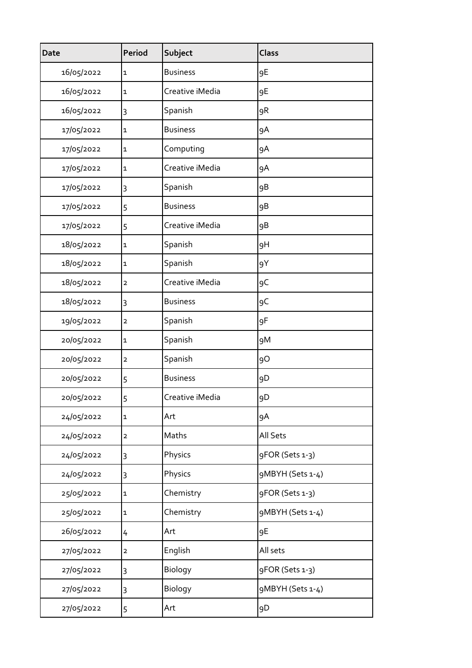| <b>Date</b> | <b>Period</b>           | Subject         | <b>Class</b>     |
|-------------|-------------------------|-----------------|------------------|
| 16/05/2022  | 1                       | <b>Business</b> | 9E               |
| 16/05/2022  | 1                       | Creative iMedia | 9E               |
| 16/05/2022  | 3                       | Spanish         | 9R               |
| 17/05/2022  | 1                       | <b>Business</b> | 9A               |
| 17/05/2022  | $\mathbf 1$             | Computing       | 9A               |
| 17/05/2022  | $\mathbf 1$             | Creative iMedia | 9A               |
| 17/05/2022  | 3                       | Spanish         | 9B               |
| 17/05/2022  | 5                       | <b>Business</b> | 9B               |
| 17/05/2022  | 5                       | Creative iMedia | 9B               |
| 18/05/2022  | $\mathbf 1$             | Spanish         | 9H               |
| 18/05/2022  | $\mathbf 1$             | Spanish         | 9Y               |
| 18/05/2022  | $\mathbf{2}$            | Creative iMedia | 9C               |
| 18/05/2022  | 3                       | <b>Business</b> | 9C               |
| 19/05/2022  | $\mathbf 2$             | Spanish         | 9F               |
| 20/05/2022  | $\mathbf 1$             | Spanish         | 9M               |
| 20/05/2022  | $\overline{2}$          | Spanish         | 90               |
| 20/05/2022  | 5                       | <b>Business</b> | 9D               |
| 20/05/2022  | 5                       | Creative iMedia | 9D               |
| 24/05/2022  | 1                       | Art             | 9A               |
| 24/05/2022  | $\overline{\mathbf{c}}$ | Maths           | All Sets         |
| 24/05/2022  | 3                       | Physics         | 9FOR (Sets 1-3)  |
| 24/05/2022  | 3                       | Physics         | 9MBYH (Sets 1-4) |
| 25/05/2022  | 1                       | Chemistry       | 9FOR (Sets 1-3)  |
| 25/05/2022  | $\mathbf{1}$            | Chemistry       | 9MBYH (Sets 1-4) |
| 26/05/2022  | 4                       | Art             | 9E               |
| 27/05/2022  | $\mathbf{2}$            | English         | All sets         |
| 27/05/2022  | 3                       | Biology         | 9FOR (Sets 1-3)  |
| 27/05/2022  | 3                       | Biology         | 9MBYH (Sets 1-4) |
| 27/05/2022  | 5                       | Art             | 9D               |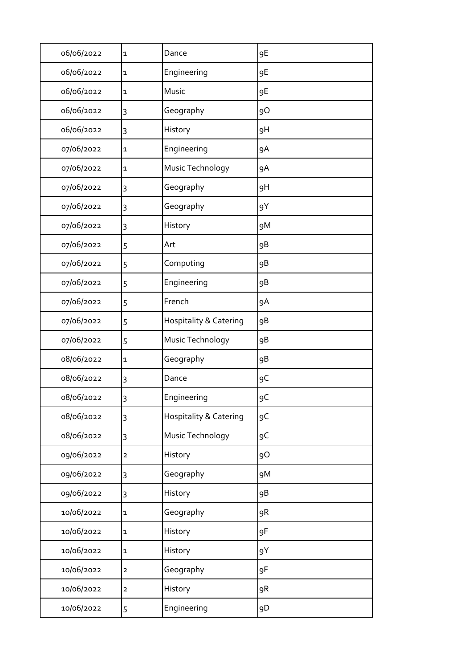| 06/06/2022 | 1            | Dance                             | 9E |
|------------|--------------|-----------------------------------|----|
| 06/06/2022 | 1            | Engineering                       | 9E |
| 06/06/2022 | 1            | Music                             | 9E |
| 06/06/2022 | 3            | Geography                         | 9O |
| 06/06/2022 | 3            | History                           | 9H |
| 07/06/2022 | 1            | Engineering                       | 9A |
| 07/06/2022 | 1            | Music Technology                  | 9A |
| 07/06/2022 | 3            | Geography                         | 9H |
| 07/06/2022 | 3            | Geography                         | 9Y |
| 07/06/2022 | 3            | History                           | 9M |
| 07/06/2022 | 5            | Art                               | 9B |
| 07/06/2022 | 5            | Computing                         | 9B |
| 07/06/2022 | 5            | Engineering                       | 9B |
| 07/06/2022 | 5            | French                            | 9A |
| 07/06/2022 | 5            | <b>Hospitality &amp; Catering</b> | 9B |
| 07/06/2022 | 5            | Music Technology                  | 9B |
| 08/06/2022 | 1            | Geography                         | 9B |
| 08/06/2022 | 3            | Dance                             | 9C |
| 08/06/2022 | 3            | Engineering                       | 9C |
| 08/06/2022 | 3            | Hospitality & Catering            | 9C |
| 08/06/2022 | 3            | Music Technology                  | 9C |
| 09/06/2022 | 2            | History                           | 9O |
| 09/06/2022 | 3            | Geography                         | 9M |
| 09/06/2022 | 3            | History                           | 9B |
| 10/06/2022 | 1            | Geography                         | 9R |
| 10/06/2022 | 1            | History                           | 9F |
| 10/06/2022 | $\mathbf{1}$ | History                           | 9Y |
| 10/06/2022 | $\mathbf{2}$ | Geography                         | 9F |
| 10/06/2022 | $\mathbf{2}$ | History                           | 9R |
| 10/06/2022 | 5            | Engineering                       | 9D |